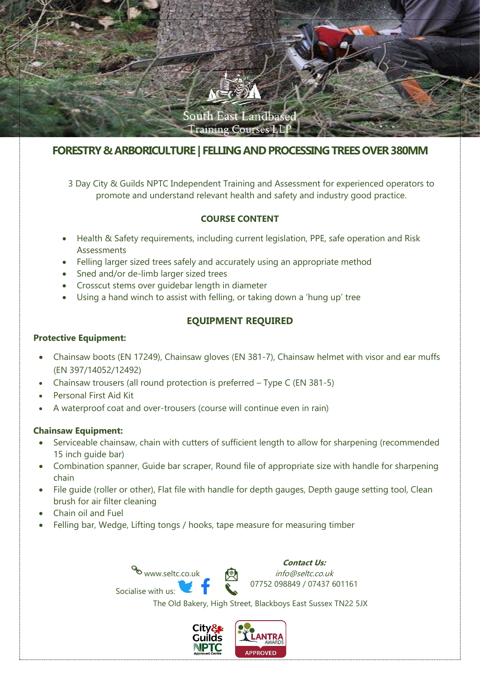

# **FORESTRY & ARBORICULTURE | FELLING AND PROCESSING TREES OVER380MM**

3 Day City & Guilds NPTC Independent Training and Assessment for experienced operators to promote and understand relevant health and safety and industry good practice.

## **COURSE CONTENT**

- Health & Safety requirements, including current legislation, PPE, safe operation and Risk Assessments
- Felling larger sized trees safely and accurately using an appropriate method
- Sned and/or de-limb larger sized trees
- Crosscut stems over guidebar length in diameter
- Using a hand winch to assist with felling, or taking down a 'hung up' tree

## **EQUIPMENT REQUIRED**

#### **Protective Equipment:**

- Chainsaw boots (EN 17249), Chainsaw gloves (EN 381-7), Chainsaw helmet with visor and ear muffs (EN 397/14052/12492)
- Chainsaw trousers (all round protection is preferred Type C (EN 381-5)
- Personal First Aid Kit
- A waterproof coat and over-trousers (course will continue even in rain)

### **Chainsaw Equipment:**

- Serviceable chainsaw, chain with cutters of sufficient length to allow for sharpening (recommended 15 inch guide bar)
- Combination spanner, Guide bar scraper, Round file of appropriate size with handle for sharpening chain
- File guide (roller or other), Flat file with handle for depth gauges, Depth gauge setting tool, Clean brush for air filter cleaning
- Chain oil and Fuel
- Felling bar, Wedge, Lifting tongs / hooks, tape measure for measuring timber



**Contact Us:** info@seltc.co.uk 07752 098849 / 07437 601161

The Old Bakery, High Street, Blackboys East Sussex TN22 5JX